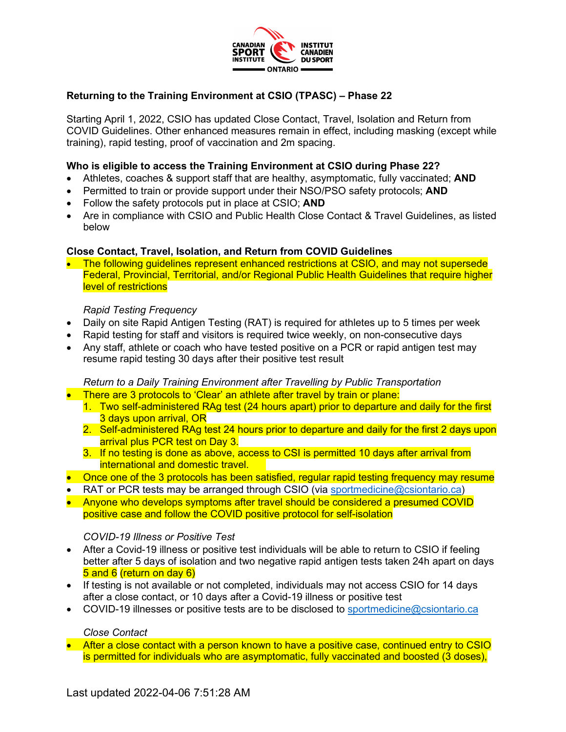

# **Returning to the Training Environment at CSIO (TPASC) – Phase 22**

Starting April 1, 2022, CSIO has updated Close Contact, Travel, Isolation and Return from COVID Guidelines. Other enhanced measures remain in effect, including masking (except while training), rapid testing, proof of vaccination and 2m spacing.

### **Who is eligible to access the Training Environment at CSIO during Phase 22?**

- Athletes, coaches & support staff that are healthy, asymptomatic, fully vaccinated; **AND**
- Permitted to train or provide support under their NSO/PSO safety protocols; **AND**
- Follow the safety protocols put in place at CSIO; **AND**
- Are in compliance with CSIO and Public Health Close Contact & Travel Guidelines, as listed below

### **Close Contact, Travel, Isolation, and Return from COVID Guidelines**

• The following quidelines represent enhanced restrictions at CSIO, and may not supersede Federal, Provincial, Territorial, and/or Regional Public Health Guidelines that require higher level of restrictions

### *Rapid Testing Frequency*

- Daily on site Rapid Antigen Testing (RAT) is required for athletes up to 5 times per week
- Rapid testing for staff and visitors is required twice weekly, on non-consecutive days
- Any staff, athlete or coach who have tested positive on a PCR or rapid antigen test may resume rapid testing 30 days after their positive test result

### *Return to a Daily Training Environment after Travelling by Public Transportation*

- There are 3 protocols to 'Clear' an athlete after travel by train or plane:
	- 1. Two self-administered RAg test (24 hours apart) prior to departure and daily for the first 3 days upon arrival, OR
	- 2. Self-administered RAg test 24 hours prior to departure and daily for the first 2 days upon arrival plus PCR test on Day 3.
	- 3. If no testing is done as above, access to CSI is permitted 10 days after arrival from international and domestic travel.
- Once one of the 3 protocols has been satisfied, regular rapid testing frequency may resume
- RAT or PCR tests may be arranged through CSIO (via [sportmedicine@csiontario.ca\)](mailto:sportmedicine@csiontario.ca)
- Anyone who develops symptoms after travel should be considered a presumed COVID positive case and follow the COVID positive protocol for self-isolation

### *COVID-19 Illness or Positive Test*

- After a Covid-19 illness or positive test individuals will be able to return to CSIO if feeling better after 5 days of isolation and two negative rapid antigen tests taken 24h apart on days 5 and 6 (return on day 6)
- If testing is not available or not completed, individuals may not access CSIO for 14 days after a close contact, or 10 days after a Covid-19 illness or positive test
- COVID-19 illnesses or positive tests are to be disclosed to [sportmedicine@csiontario.ca](mailto:sportmedicine@csiontario.ca)

### *Close Contact*

• After a close contact with a person known to have a positive case, continued entry to CSIO is permitted for individuals who are asymptomatic, fully vaccinated and boosted (3 doses),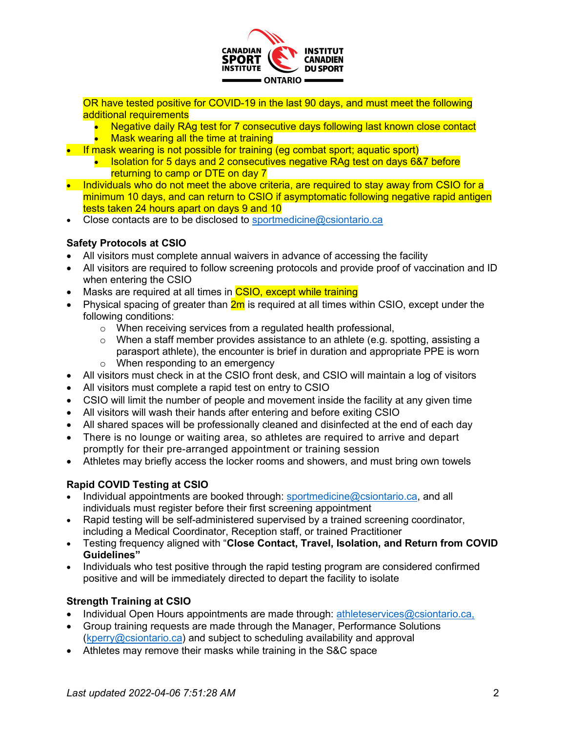

OR have tested positive for COVID-19 in the last 90 days, and must meet the following additional requirements

- Negative daily RAg test for 7 consecutive days following last known close contact **Mask wearing all the time at training**
- If mask wearing is not possible for training (eg combat sport; aquatic sport)
	- Isolation for 5 days and 2 consecutives negative RAg test on days 6&7 before returning to camp or DTE on day 7
- Individuals who do not meet the above criteria, are required to stay away from CSIO for a minimum 10 days, and can return to CSIO if asymptomatic following negative rapid antigen tests taken 24 hours apart on days 9 and 10
- Close contacts are to be disclosed to [sportmedicine@csiontario.ca](mailto:sportmedicine@csiontario.ca)

# **Safety Protocols at CSIO**

- All visitors must complete annual waivers in advance of accessing the facility
- All visitors are required to follow screening protocols and provide proof of vaccination and ID when entering the CSIO
- Masks are required at all times in **CSIO, except while training**
- Physical spacing of greater than  $2m$  is required at all times within CSIO, except under the following conditions:
	- o When receiving services from a regulated health professional,
	- $\circ$  When a staff member provides assistance to an athlete (e.g. spotting, assisting a parasport athlete), the encounter is brief in duration and appropriate PPE is worn
	- $\circ$  When responding to an emergency
- All visitors must check in at the CSIO front desk, and CSIO will maintain a log of visitors
- All visitors must complete a rapid test on entry to CSIO
- CSIO will limit the number of people and movement inside the facility at any given time
- All visitors will wash their hands after entering and before exiting CSIO
- All shared spaces will be professionally cleaned and disinfected at the end of each day
- There is no lounge or waiting area, so athletes are required to arrive and depart promptly for their pre-arranged appointment or training session
- Athletes may briefly access the locker rooms and showers, and must bring own towels

# **Rapid COVID Testing at CSIO**

- Individual appointments are booked through: [sportmedicine@csiontario.ca,](mailto:sportmedicine@csiontario.ca) and all individuals must register before their first screening appointment
- Rapid testing will be self-administered supervised by a trained screening coordinator, including a Medical Coordinator, Reception staff, or trained Practitioner
- Testing frequency aligned with "**Close Contact, Travel, Isolation, and Return from COVID Guidelines"**
- Individuals who test positive through the rapid testing program are considered confirmed positive and will be immediately directed to depart the facility to isolate

# **Strength Training at CSIO**

- Individual Open Hours appointments are made through: [athleteservices@csiontario.ca,](mailto:athleteservices@csiontario.ca)
- Group training requests are made through the Manager, Performance Solutions [\(kperry@csiontario.ca\)](mailto:kperry@csiontario.ca) and subject to scheduling availability and approval
- Athletes may remove their masks while training in the S&C space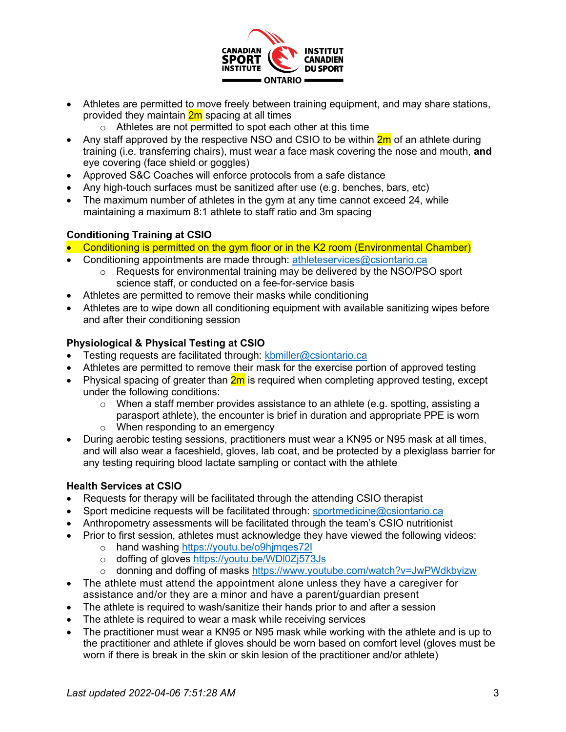

- Athletes are permitted to move freely between training equipment, and may share stations, provided they maintain **2m** spacing at all times
	- o Athletes are not permitted to spot each other at this time
- Any staff approved by the respective NSO and CSIO to be within  $2<sub>m</sub>$  of an athlete during training (i.e. transferring chairs), must wear a face mask covering the nose and mouth, **and** eye covering (face shield or goggles)
- Approved S&C Coaches will enforce protocols from a safe distance
- Any high-touch surfaces must be sanitized after use (e.g. benches, bars, etc)
- The maximum number of athletes in the gym at any time cannot exceed 24, while maintaining a maximum 8:1 athlete to staff ratio and 3m spacing

# **Conditioning Training at CSIO**

- Conditioning is permitted on the gym floor or in the K2 room (Environmental Chamber)
- Conditioning appointments are made through: [athleteservices@csiontario.ca](mailto:athleteservices@csiontario.ca)
	- $\circ$  Requests for environmental training may be delivered by the NSO/PSO sport science staff, or conducted on a fee-for-service basis
- Athletes are permitted to remove their masks while conditioning
- Athletes are to wipe down all conditioning equipment with available sanitizing wipes before and after their conditioning session

# **Physiological & Physical Testing at CSIO**

- Testing requests are facilitated through: [kbmiller@csiontario.ca](mailto:kbmiller@csiontario.ca)
- Athletes are permitted to remove their mask for the exercise portion of approved testing
- Physical spacing of greater than  $2m$  is required when completing approved testing, except under the following conditions:
	- $\circ$  When a staff member provides assistance to an athlete (e.g. spotting, assisting a parasport athlete), the encounter is brief in duration and appropriate PPE is worn
	- o When responding to an emergency
- During aerobic testing sessions, practitioners must wear a KN95 or N95 mask at all times, and will also wear a faceshield, gloves, lab coat, and be protected by a plexiglass barrier for any testing requiring blood lactate sampling or contact with the athlete

### **Health Services at CSIO**

- Requests for therapy will be facilitated through the attending CSIO therapist
- Sport medicine requests will be facilitated through: [sportmedicine@csiontario.ca](mailto:sportmedicine@csiontario.ca)
- Anthropometry assessments will be facilitated through the team's CSIO nutritionist
- Prior to first session, athletes must acknowledge they have viewed the following videos:
	- o hand washing<https://youtu.be/o9hjmqes72I>
	- o doffing of gloves<https://youtu.be/WDl0Zj573Js>
	- o donning and doffing of masks<https://www.youtube.com/watch?v=JwPWdkbyizw>
- The athlete must attend the appointment alone unless they have a caregiver for assistance and/or they are a minor and have a parent/guardian present
- The athlete is required to wash/sanitize their hands prior to and after a session
- The athlete is required to wear a mask while receiving services
- The practitioner must wear a KN95 or N95 mask while working with the athlete and is up to the practitioner and athlete if gloves should be worn based on comfort level (gloves must be worn if there is break in the skin or skin lesion of the practitioner and/or athlete)